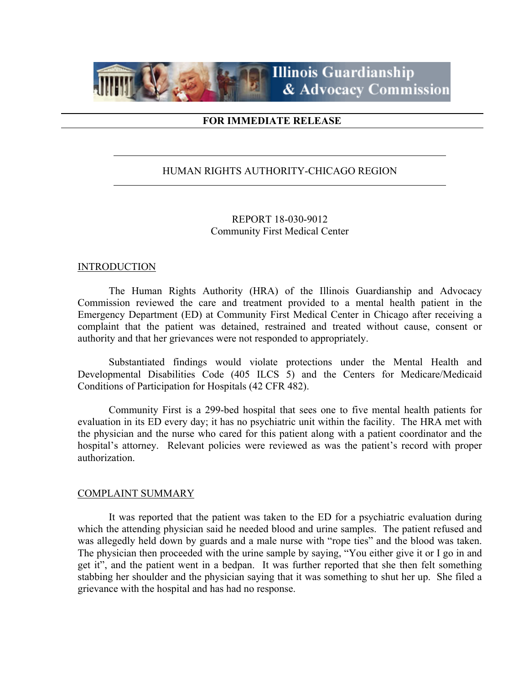

## **FOR IMMEDIATE RELEASE**

# HUMAN RIGHTS AUTHORITY-CHICAGO REGION

# REPORT 18-030-9012 Community First Medical Center

#### INTRODUCTION

 The Human Rights Authority (HRA) of the Illinois Guardianship and Advocacy Commission reviewed the care and treatment provided to a mental health patient in the Emergency Department (ED) at Community First Medical Center in Chicago after receiving a complaint that the patient was detained, restrained and treated without cause, consent or authority and that her grievances were not responded to appropriately.

 Substantiated findings would violate protections under the Mental Health and Developmental Disabilities Code (405 ILCS 5) and the Centers for Medicare/Medicaid Conditions of Participation for Hospitals (42 CFR 482).

 Community First is a 299-bed hospital that sees one to five mental health patients for evaluation in its ED every day; it has no psychiatric unit within the facility. The HRA met with the physician and the nurse who cared for this patient along with a patient coordinator and the hospital's attorney. Relevant policies were reviewed as was the patient's record with proper authorization.

## COMPLAINT SUMMARY

 It was reported that the patient was taken to the ED for a psychiatric evaluation during which the attending physician said he needed blood and urine samples. The patient refused and was allegedly held down by guards and a male nurse with "rope ties" and the blood was taken. The physician then proceeded with the urine sample by saying, "You either give it or I go in and get it", and the patient went in a bedpan. It was further reported that she then felt something stabbing her shoulder and the physician saying that it was something to shut her up. She filed a grievance with the hospital and has had no response.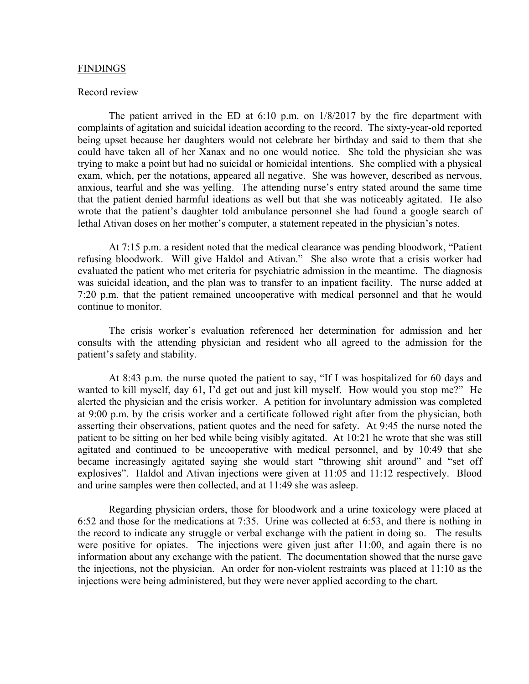#### FINDINGS

#### Record review

The patient arrived in the ED at  $6:10$  p.m. on  $1/8/2017$  by the fire department with complaints of agitation and suicidal ideation according to the record. The sixty-year-old reported being upset because her daughters would not celebrate her birthday and said to them that she could have taken all of her Xanax and no one would notice. She told the physician she was trying to make a point but had no suicidal or homicidal intentions. She complied with a physical exam, which, per the notations, appeared all negative. She was however, described as nervous, anxious, tearful and she was yelling. The attending nurse's entry stated around the same time that the patient denied harmful ideations as well but that she was noticeably agitated. He also wrote that the patient's daughter told ambulance personnel she had found a google search of lethal Ativan doses on her mother's computer, a statement repeated in the physician's notes.

 At 7:15 p.m. a resident noted that the medical clearance was pending bloodwork, "Patient refusing bloodwork. Will give Haldol and Ativan." She also wrote that a crisis worker had evaluated the patient who met criteria for psychiatric admission in the meantime. The diagnosis was suicidal ideation, and the plan was to transfer to an inpatient facility. The nurse added at 7:20 p.m. that the patient remained uncooperative with medical personnel and that he would continue to monitor.

 The crisis worker's evaluation referenced her determination for admission and her consults with the attending physician and resident who all agreed to the admission for the patient's safety and stability.

 At 8:43 p.m. the nurse quoted the patient to say, "If I was hospitalized for 60 days and wanted to kill myself, day 61, I'd get out and just kill myself. How would you stop me?" He alerted the physician and the crisis worker. A petition for involuntary admission was completed at 9:00 p.m. by the crisis worker and a certificate followed right after from the physician, both asserting their observations, patient quotes and the need for safety. At 9:45 the nurse noted the patient to be sitting on her bed while being visibly agitated. At 10:21 he wrote that she was still agitated and continued to be uncooperative with medical personnel, and by 10:49 that she became increasingly agitated saying she would start "throwing shit around" and "set off explosives". Haldol and Ativan injections were given at 11:05 and 11:12 respectively. Blood and urine samples were then collected, and at 11:49 she was asleep.

 Regarding physician orders, those for bloodwork and a urine toxicology were placed at 6:52 and those for the medications at 7:35. Urine was collected at 6:53, and there is nothing in the record to indicate any struggle or verbal exchange with the patient in doing so. The results were positive for opiates. The injections were given just after 11:00, and again there is no information about any exchange with the patient. The documentation showed that the nurse gave the injections, not the physician. An order for non-violent restraints was placed at 11:10 as the injections were being administered, but they were never applied according to the chart.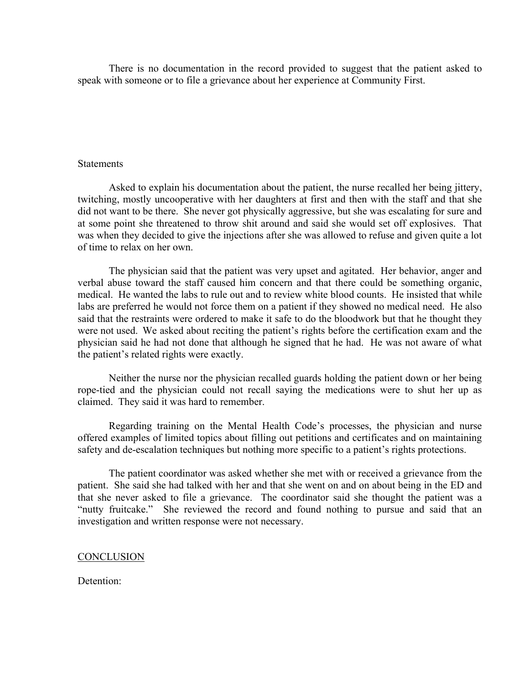There is no documentation in the record provided to suggest that the patient asked to speak with someone or to file a grievance about her experience at Community First.

#### **Statements**

 Asked to explain his documentation about the patient, the nurse recalled her being jittery, twitching, mostly uncooperative with her daughters at first and then with the staff and that she did not want to be there. She never got physically aggressive, but she was escalating for sure and at some point she threatened to throw shit around and said she would set off explosives. That was when they decided to give the injections after she was allowed to refuse and given quite a lot of time to relax on her own.

 The physician said that the patient was very upset and agitated. Her behavior, anger and verbal abuse toward the staff caused him concern and that there could be something organic, medical. He wanted the labs to rule out and to review white blood counts. He insisted that while labs are preferred he would not force them on a patient if they showed no medical need. He also said that the restraints were ordered to make it safe to do the bloodwork but that he thought they were not used. We asked about reciting the patient's rights before the certification exam and the physician said he had not done that although he signed that he had. He was not aware of what the patient's related rights were exactly.

Neither the nurse nor the physician recalled guards holding the patient down or her being rope-tied and the physician could not recall saying the medications were to shut her up as claimed. They said it was hard to remember.

Regarding training on the Mental Health Code's processes, the physician and nurse offered examples of limited topics about filling out petitions and certificates and on maintaining safety and de-escalation techniques but nothing more specific to a patient's rights protections.

The patient coordinator was asked whether she met with or received a grievance from the patient. She said she had talked with her and that she went on and on about being in the ED and that she never asked to file a grievance. The coordinator said she thought the patient was a "nutty fruitcake." She reviewed the record and found nothing to pursue and said that an investigation and written response were not necessary.

#### **CONCLUSION**

## Detention: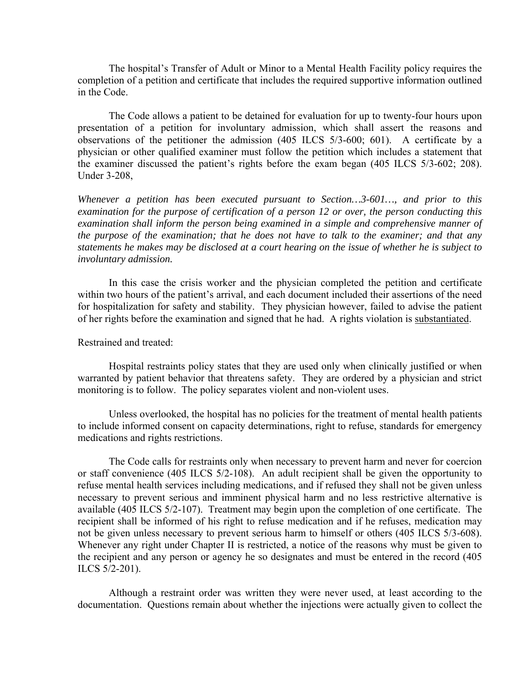The hospital's Transfer of Adult or Minor to a Mental Health Facility policy requires the completion of a petition and certificate that includes the required supportive information outlined in the Code.

 The Code allows a patient to be detained for evaluation for up to twenty-four hours upon presentation of a petition for involuntary admission, which shall assert the reasons and observations of the petitioner the admission (405 ILCS 5/3-600; 601). A certificate by a physician or other qualified examiner must follow the petition which includes a statement that the examiner discussed the patient's rights before the exam began (405 ILCS 5/3-602; 208). Under 3-208,

*Whenever a petition has been executed pursuant to Section…3-601…, and prior to this examination for the purpose of certification of a person 12 or over, the person conducting this*  examination shall inform the person being examined in a simple and comprehensive manner of *the purpose of the examination; that he does not have to talk to the examiner; and that any statements he makes may be disclosed at a court hearing on the issue of whether he is subject to involuntary admission.* 

 In this case the crisis worker and the physician completed the petition and certificate within two hours of the patient's arrival, and each document included their assertions of the need for hospitalization for safety and stability. They physician however, failed to advise the patient of her rights before the examination and signed that he had. A rights violation is substantiated.

Restrained and treated:

Hospital restraints policy states that they are used only when clinically justified or when warranted by patient behavior that threatens safety. They are ordered by a physician and strict monitoring is to follow. The policy separates violent and non-violent uses.

Unless overlooked, the hospital has no policies for the treatment of mental health patients to include informed consent on capacity determinations, right to refuse, standards for emergency medications and rights restrictions.

The Code calls for restraints only when necessary to prevent harm and never for coercion or staff convenience (405 ILCS 5/2-108). An adult recipient shall be given the opportunity to refuse mental health services including medications, and if refused they shall not be given unless necessary to prevent serious and imminent physical harm and no less restrictive alternative is available (405 ILCS 5/2-107). Treatment may begin upon the completion of one certificate. The recipient shall be informed of his right to refuse medication and if he refuses, medication may not be given unless necessary to prevent serious harm to himself or others (405 ILCS 5/3-608). Whenever any right under Chapter II is restricted, a notice of the reasons why must be given to the recipient and any person or agency he so designates and must be entered in the record (405 ILCS 5/2-201).

Although a restraint order was written they were never used, at least according to the documentation. Questions remain about whether the injections were actually given to collect the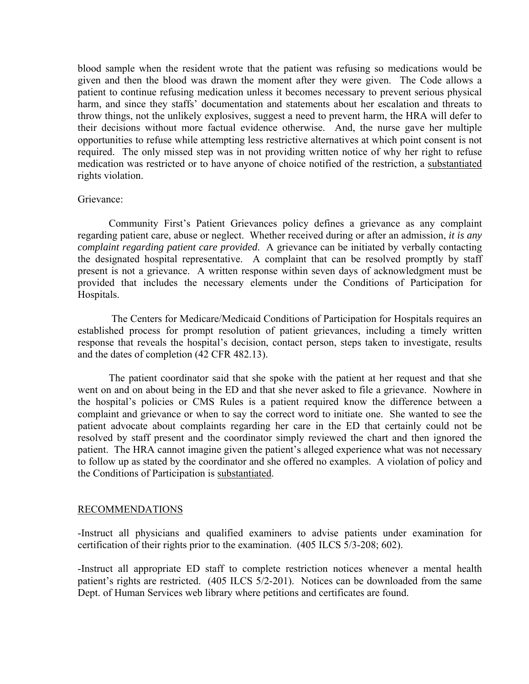blood sample when the resident wrote that the patient was refusing so medications would be given and then the blood was drawn the moment after they were given. The Code allows a patient to continue refusing medication unless it becomes necessary to prevent serious physical harm, and since they staffs' documentation and statements about her escalation and threats to throw things, not the unlikely explosives, suggest a need to prevent harm, the HRA will defer to their decisions without more factual evidence otherwise. And, the nurse gave her multiple opportunities to refuse while attempting less restrictive alternatives at which point consent is not required. The only missed step was in not providing written notice of why her right to refuse medication was restricted or to have anyone of choice notified of the restriction, a substantiated rights violation.

## Grievance:

 Community First's Patient Grievances policy defines a grievance as any complaint regarding patient care, abuse or neglect. Whether received during or after an admission, *it is any complaint regarding patient care provided*. A grievance can be initiated by verbally contacting the designated hospital representative. A complaint that can be resolved promptly by staff present is not a grievance. A written response within seven days of acknowledgment must be provided that includes the necessary elements under the Conditions of Participation for Hospitals.

 The Centers for Medicare/Medicaid Conditions of Participation for Hospitals requires an established process for prompt resolution of patient grievances, including a timely written response that reveals the hospital's decision, contact person, steps taken to investigate, results and the dates of completion (42 CFR 482.13).

 The patient coordinator said that she spoke with the patient at her request and that she went on and on about being in the ED and that she never asked to file a grievance. Nowhere in the hospital's policies or CMS Rules is a patient required know the difference between a complaint and grievance or when to say the correct word to initiate one. She wanted to see the patient advocate about complaints regarding her care in the ED that certainly could not be resolved by staff present and the coordinator simply reviewed the chart and then ignored the patient. The HRA cannot imagine given the patient's alleged experience what was not necessary to follow up as stated by the coordinator and she offered no examples. A violation of policy and the Conditions of Participation is substantiated.

#### RECOMMENDATIONS

-Instruct all physicians and qualified examiners to advise patients under examination for certification of their rights prior to the examination. (405 ILCS 5/3-208; 602).

-Instruct all appropriate ED staff to complete restriction notices whenever a mental health patient's rights are restricted. (405 ILCS 5/2-201). Notices can be downloaded from the same Dept. of Human Services web library where petitions and certificates are found.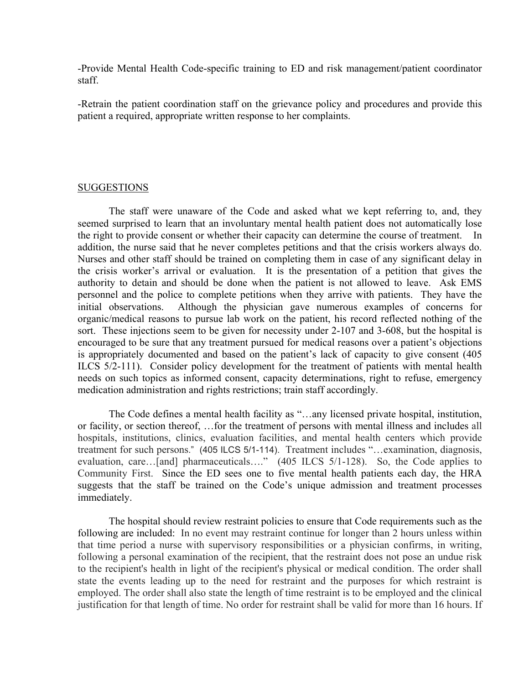-Provide Mental Health Code-specific training to ED and risk management/patient coordinator staff.

-Retrain the patient coordination staff on the grievance policy and procedures and provide this patient a required, appropriate written response to her complaints.

## SUGGESTIONS

 The staff were unaware of the Code and asked what we kept referring to, and, they seemed surprised to learn that an involuntary mental health patient does not automatically lose the right to provide consent or whether their capacity can determine the course of treatment. In addition, the nurse said that he never completes petitions and that the crisis workers always do. Nurses and other staff should be trained on completing them in case of any significant delay in the crisis worker's arrival or evaluation. It is the presentation of a petition that gives the authority to detain and should be done when the patient is not allowed to leave. Ask EMS personnel and the police to complete petitions when they arrive with patients. They have the initial observations. Although the physician gave numerous examples of concerns for organic/medical reasons to pursue lab work on the patient, his record reflected nothing of the sort. These injections seem to be given for necessity under 2-107 and 3-608, but the hospital is encouraged to be sure that any treatment pursued for medical reasons over a patient's objections is appropriately documented and based on the patient's lack of capacity to give consent (405 ILCS 5/2-111). Consider policy development for the treatment of patients with mental health needs on such topics as informed consent, capacity determinations, right to refuse, emergency medication administration and rights restrictions; train staff accordingly.

The Code defines a mental health facility as "…any licensed private hospital, institution, or facility, or section thereof, …for the treatment of persons with mental illness and includes all hospitals, institutions, clinics, evaluation facilities, and mental health centers which provide treatment for such persons." (405 ILCS 5/1-114). Treatment includes "…examination, diagnosis, evaluation, care…[and] pharmaceuticals…." (405 ILCS 5/1-128). So, the Code applies to Community First. Since the ED sees one to five mental health patients each day, the HRA suggests that the staff be trained on the Code's unique admission and treatment processes immediately.

The hospital should review restraint policies to ensure that Code requirements such as the following are included: In no event may restraint continue for longer than 2 hours unless within that time period a nurse with supervisory responsibilities or a physician confirms, in writing, following a personal examination of the recipient, that the restraint does not pose an undue risk to the recipient's health in light of the recipient's physical or medical condition. The order shall state the events leading up to the need for restraint and the purposes for which restraint is employed. The order shall also state the length of time restraint is to be employed and the clinical justification for that length of time. No order for restraint shall be valid for more than 16 hours. If